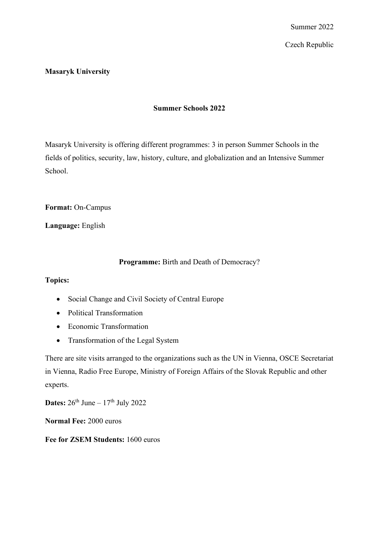Czech Republic

## **Masaryk University**

# **Summer Schools 2022**

Masaryk University is offering different programmes: 3 in person Summer Schools in the fields of politics, security, law, history, culture, and globalization and an Intensive Summer School.

**Format:** On-Campus

**Language:** English

### **Programme:** Birth and Death of Democracy?

#### **Topics:**

- Social Change and Civil Society of Central Europe
- Political Transformation
- Economic Transformation
- Transformation of the Legal System

There are site visits arranged to the organizations such as the UN in Vienna, OSCE Secretariat in Vienna, Radio Free Europe, Ministry of Foreign Affairs of the Slovak Republic and other experts.

**Dates:**  $26^{th}$  June  $-17^{th}$  July 2022

**Normal Fee:** 2000 euros

**Fee for ZSEM Students:** 1600 euros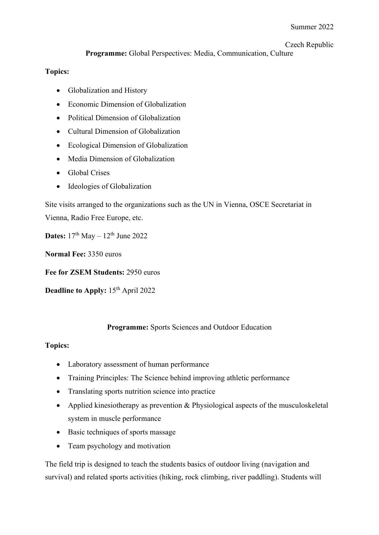## Czech Republic

## **Programme:** Global Perspectives: Media, Communication, Culture

# **Topics:**

- Globalization and History
- Economic Dimension of Globalization
- Political Dimension of Globalization
- Cultural Dimension of Globalization
- Ecological Dimension of Globalization
- Media Dimension of Globalization
- Global Crises
- Ideologies of Globalization

Site visits arranged to the organizations such as the UN in Vienna, OSCE Secretariat in Vienna, Radio Free Europe, etc.

**Dates:**  $17<sup>th</sup>$  May  $- 12<sup>th</sup>$  June 2022

**Normal Fee:** 3350 euros

**Fee for ZSEM Students:** 2950 euros

**Deadline to Apply:** 15<sup>th</sup> April 2022

## **Programme:** Sports Sciences and Outdoor Education

## **Topics:**

- Laboratory assessment of human performance
- Training Principles: The Science behind improving athletic performance
- Translating sports nutrition science into practice
- Applied kinesiotherapy as prevention & Physiological aspects of the musculoskeletal system in muscle performance
- Basic techniques of sports massage
- Team psychology and motivation

The field trip is designed to teach the students basics of outdoor living (navigation and survival) and related sports activities (hiking, rock climbing, river paddling). Students will